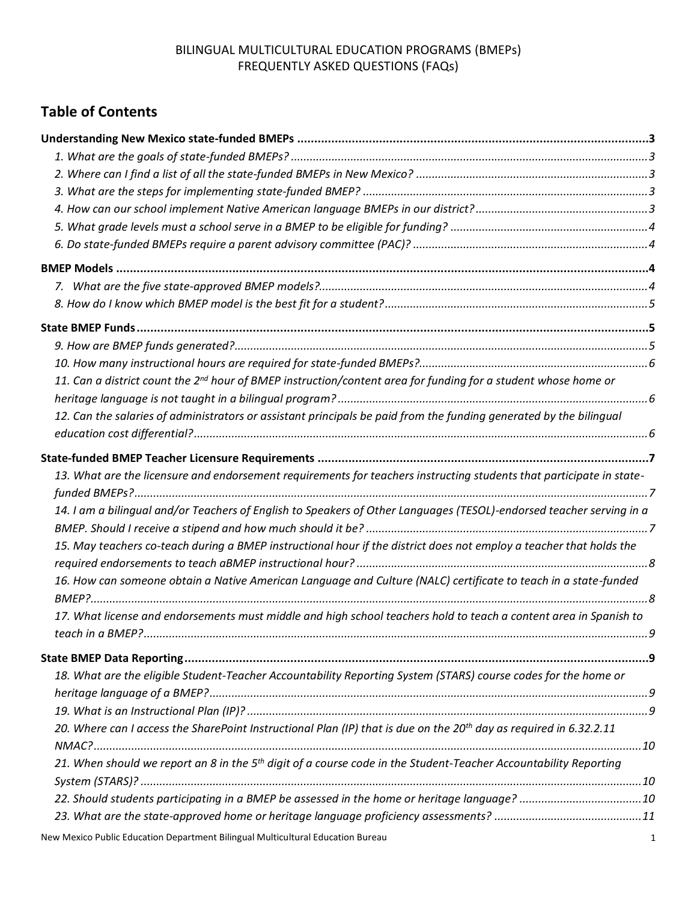# **Table of Contents**

| 11. Can a district count the 2 <sup>nd</sup> hour of BMEP instruction/content area for funding for a student whose home or     |  |
|--------------------------------------------------------------------------------------------------------------------------------|--|
|                                                                                                                                |  |
| 12. Can the salaries of administrators or assistant principals be paid from the funding generated by the bilinqual             |  |
|                                                                                                                                |  |
|                                                                                                                                |  |
| 13. What are the licensure and endorsement requirements for teachers instructing students that participate in state-           |  |
|                                                                                                                                |  |
| 14. I am a bilingual and/or Teachers of English to Speakers of Other Languages (TESOL)-endorsed teacher serving in a           |  |
|                                                                                                                                |  |
| 15. May teachers co-teach during a BMEP instructional hour if the district does not employ a teacher that holds the            |  |
| 16. How can someone obtain a Native American Language and Culture (NALC) certificate to teach in a state-funded                |  |
|                                                                                                                                |  |
| 17. What license and endorsements must middle and high school teachers hold to teach a content area in Spanish to              |  |
|                                                                                                                                |  |
|                                                                                                                                |  |
| 18. What are the eligible Student-Teacher Accountability Reporting System (STARS) course codes for the home or                 |  |
|                                                                                                                                |  |
|                                                                                                                                |  |
| 20. Where can I access the SharePoint Instructional Plan (IP) that is due on the 20 <sup>th</sup> day as required in 6.32.2.11 |  |
| 21. When should we report an 8 in the 5 <sup>th</sup> digit of a course code in the Student-Teacher Accountability Reporting   |  |
|                                                                                                                                |  |
|                                                                                                                                |  |
|                                                                                                                                |  |
|                                                                                                                                |  |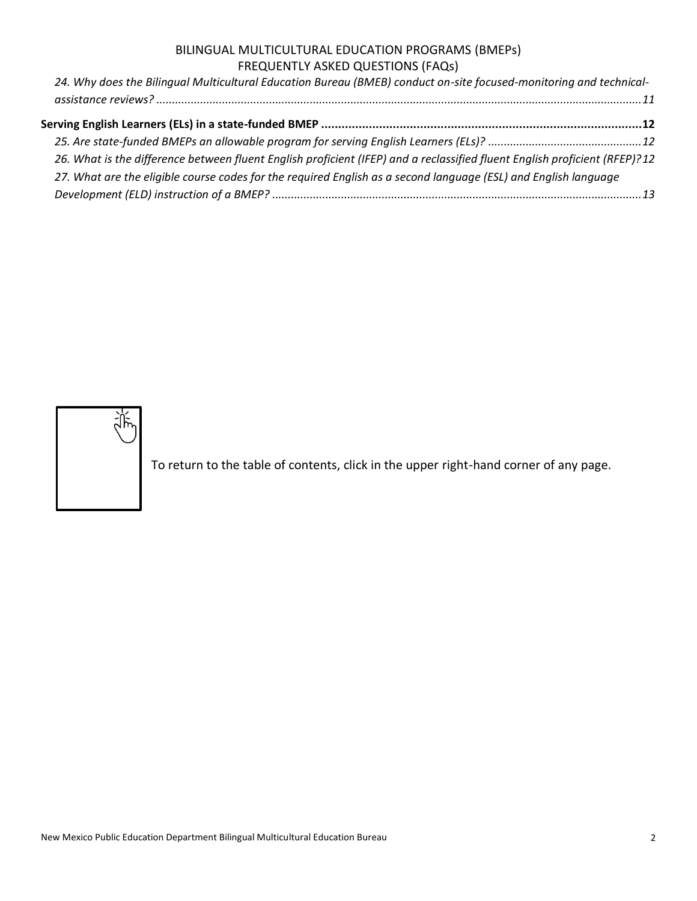| 24. Why does the Bilingual Multicultural Education Bureau (BMEB) conduct on-site focused-monitoring and technical-         |  |
|----------------------------------------------------------------------------------------------------------------------------|--|
|                                                                                                                            |  |
|                                                                                                                            |  |
|                                                                                                                            |  |
| 26. What is the difference between fluent English proficient (IFEP) and a reclassified fluent English proficient (RFEP)?12 |  |
| 27. What are the eligible course codes for the required English as a second language (ESL) and English language            |  |
|                                                                                                                            |  |
|                                                                                                                            |  |



To return to the table of contents, click in the upper right-hand corner of any page.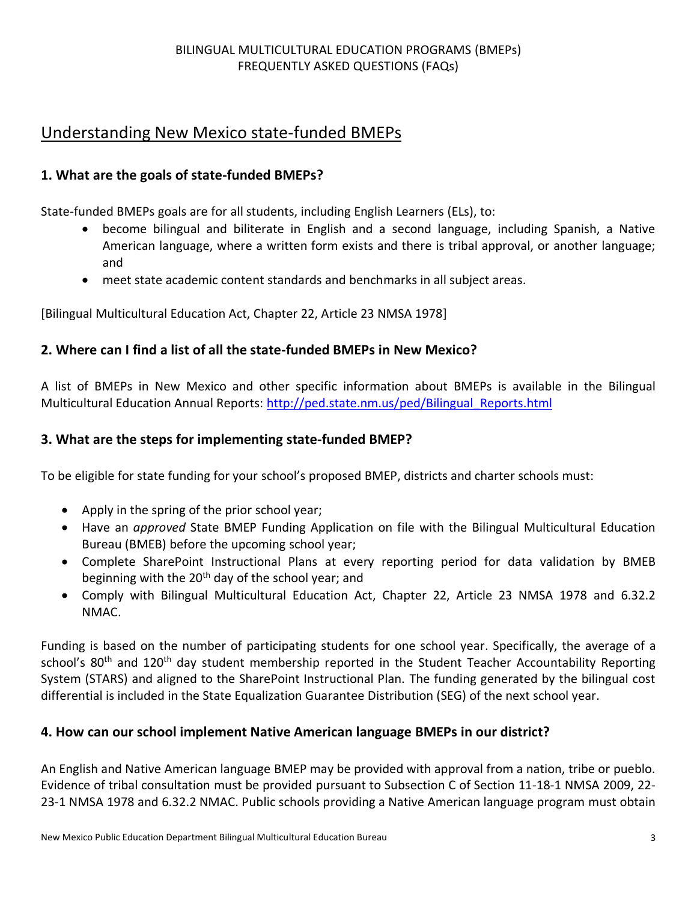# <span id="page-2-0"></span>Understanding New Mexico state-funded BMEPs

### <span id="page-2-1"></span>**1. What are the goals of state-funded BMEPs?**

State-funded BMEPs goals are for all students, including English Learners (ELs), to:

- become bilingual and biliterate in English and a second language, including Spanish, a Native American language, where a written form exists and there is tribal approval, or another language; and
- meet state academic content standards and benchmarks in all subject areas.

[Bilingual Multicultural Education Act, Chapter 22, Article 23 NMSA 1978]

### <span id="page-2-2"></span>**2. Where can I find a list of all the state-funded BMEPs in New Mexico?**

A list of BMEPs in New Mexico and other specific information about BMEPs is available in the Bilingual Multicultural Education Annual Reports: [http://ped.state.nm.us/ped/Bilingual\\_Reports.html](http://ped.state.nm.us/ped/Bilingual_Reports.html)

#### <span id="page-2-3"></span>**3. What are the steps for implementing state-funded BMEP?**

To be eligible for state funding for your school's proposed BMEP, districts and charter schools must:

- Apply in the spring of the prior school year;
- Have an *approved* State BMEP Funding Application on file with the Bilingual Multicultural Education Bureau (BMEB) before the upcoming school year;
- Complete SharePoint Instructional Plans at every reporting period for data validation by BMEB beginning with the  $20<sup>th</sup>$  day of the school year; and
- Comply with Bilingual Multicultural Education Act, Chapter 22, Article 23 NMSA 1978 and 6.32.2 NMAC.

Funding is based on the number of participating students for one school year. Specifically, the average of a school's 80<sup>th</sup> and 120<sup>th</sup> day student membership reported in the Student Teacher Accountability Reporting System (STARS) and aligned to the SharePoint Instructional Plan. The funding generated by the bilingual cost differential is included in the State Equalization Guarantee Distribution (SEG) of the next school year.

### <span id="page-2-4"></span>**4. How can our school implement Native American language BMEPs in our district?**

An English and Native American language BMEP may be provided with approval from a nation, tribe or pueblo. Evidence of tribal consultation must be provided pursuant to Subsection C of Section 11-18-1 NMSA 2009, 22- 23-1 NMSA 1978 and 6.32.2 NMAC. Public schools providing a Native American language program must obtain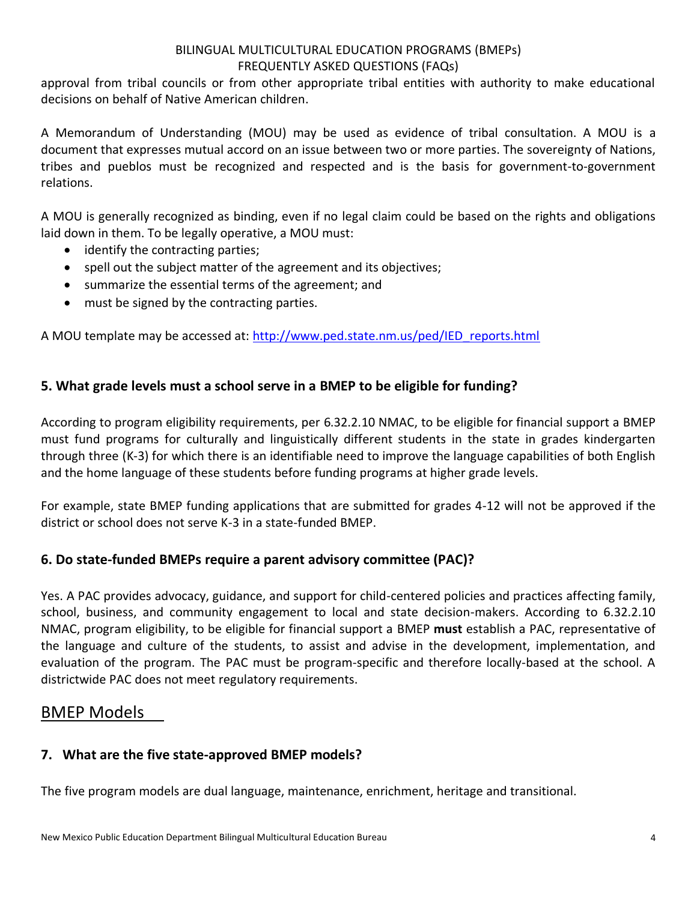approval from tribal councils or from other appropriate tribal entities with authority to make educational decisions on behalf of Native American children.

A Memorandum of Understanding (MOU) may be used as evidence of tribal consultation. A MOU is a document that expresses mutual accord on an issue between two or more parties. The sovereignty of Nations, tribes and pueblos must be recognized and respected and is the basis for government-to-government relations.

A MOU is generally recognized as binding, even if no legal claim could be based on the rights and obligations laid down in them. To be legally operative, a MOU must:

- identify the contracting parties;
- spell out the subject matter of the agreement and its objectives;
- summarize the essential terms of the agreement; and
- must be signed by the contracting parties.

A MOU template may be accessed at: [http://www.ped.state.nm.us/ped/IED\\_reports.html](http://www.ped.state.nm.us/ped/IED_reports.html)

### <span id="page-3-0"></span>**5. What grade levels must a school serve in a BMEP to be eligible for funding?**

According to program eligibility requirements, per 6.32.2.10 NMAC, to be eligible for financial support a BMEP must fund programs for culturally and linguistically different students in the state in grades kindergarten through three (K-3) for which there is an identifiable need to improve the language capabilities of both English and the home language of these students before funding programs at higher grade levels.

For example, state BMEP funding applications that are submitted for grades 4-12 will not be approved if the district or school does not serve K-3 in a state-funded BMEP.

### <span id="page-3-1"></span>**6. Do state-funded BMEPs require a parent advisory committee (PAC)?**

Yes. A PAC provides advocacy, guidance, and support for child-centered policies and practices affecting family, school, business, and community engagement to local and state decision-makers. According to 6.32.2.10 NMAC, program eligibility, to be eligible for financial support a BMEP **must** establish a PAC, representative of the language and culture of the students, to assist and advise in the development, implementation, and evaluation of the program. The PAC must be program-specific and therefore locally-based at the school. A districtwide PAC does not meet regulatory requirements.

## <span id="page-3-2"></span>BMEP Models

### <span id="page-3-3"></span>**7. What are the five state-approved BMEP models?**

The five program models are dual language, maintenance, enrichment, heritage and transitional.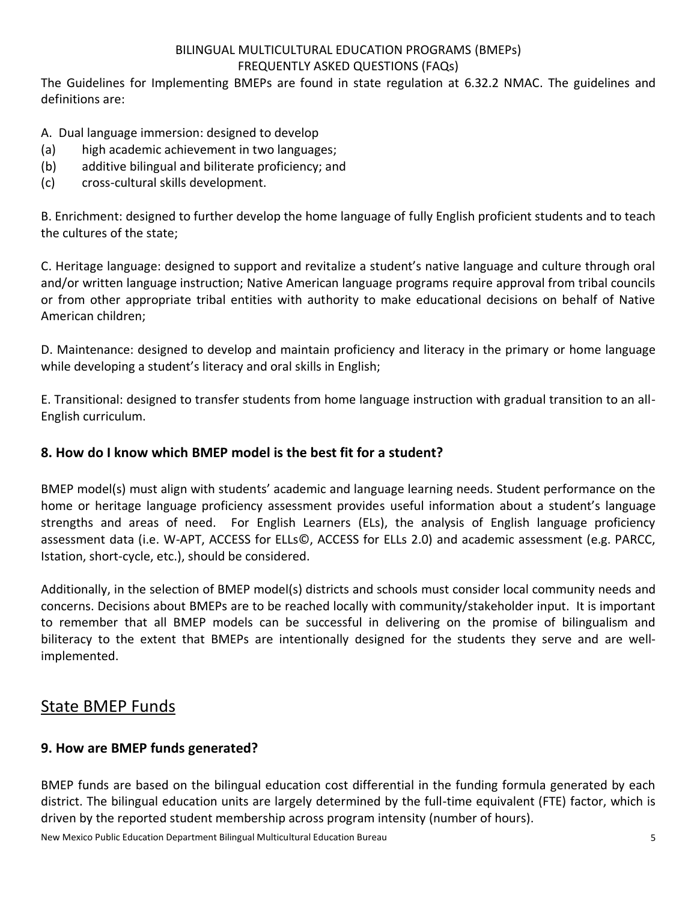The Guidelines for Implementing BMEPs are found in state regulation at 6.32.2 NMAC. The guidelines and definitions are:

A. Dual language immersion: designed to develop

- (a) high academic achievement in two languages;
- (b) additive bilingual and biliterate proficiency; and
- (c) cross-cultural skills development.

B. Enrichment: designed to further develop the home language of fully English proficient students and to teach the cultures of the state;

C. Heritage language: designed to support and revitalize a student's native language and culture through oral and/or written language instruction; Native American language programs require approval from tribal councils or from other appropriate tribal entities with authority to make educational decisions on behalf of Native American children;

D. Maintenance: designed to develop and maintain proficiency and literacy in the primary or home language while developing a student's literacy and oral skills in English;

E. Transitional: designed to transfer students from home language instruction with gradual transition to an all-English curriculum.

### <span id="page-4-0"></span>**8. How do I know which BMEP model is the best fit for a student?**

BMEP model(s) must align with students' academic and language learning needs. Student performance on the home or heritage language proficiency assessment provides useful information about a student's language strengths and areas of need. For English Learners (ELs), the analysis of English language proficiency assessment data (i.e. W-APT, ACCESS for ELLs©, ACCESS for ELLs 2.0) and academic assessment (e.g. PARCC, Istation, short-cycle, etc.), should be considered.

Additionally, in the selection of BMEP model(s) districts and schools must consider local community needs and concerns. Decisions about BMEPs are to be reached locally with community/stakeholder input. It is important to remember that all BMEP models can be successful in delivering on the promise of bilingualism and biliteracy to the extent that BMEPs are intentionally designed for the students they serve and are wellimplemented.

# <span id="page-4-1"></span>State BMEP Funds

### <span id="page-4-2"></span>**9. How are BMEP funds generated?**

BMEP funds are based on the bilingual education cost differential in the funding formula generated by each district. The bilingual education units are largely determined by the full-time equivalent (FTE) factor, which is driven by the reported student membership across program intensity (number of hours).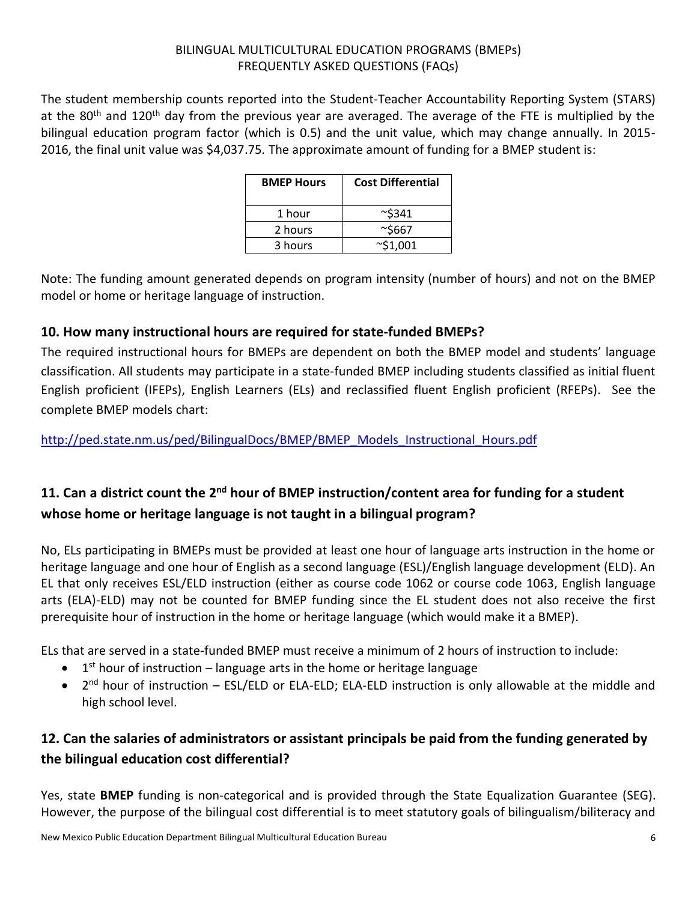The student membership counts reported into the Student-Teacher Accountability Reporting System (STARS) at the 80<sup>th</sup> and 120<sup>th</sup> day from the previous year are averaged. The average of the FTE is multiplied by the bilingual education program factor (which is 0.5) and the unit value, which may change annually. In 2015- 2016, the final unit value was \$4,037.75. The approximate amount of funding for a BMEP student is:

| <b>BMEP Hours</b> | <b>Cost Differential</b> |
|-------------------|--------------------------|
| 1 hour            | ~5341                    |
| 2 hours           | ~5667                    |
| 3 hours           | $\sim$ \$1,001           |

Note: The funding amount generated depends on program intensity (number of hours) and not on the BMEP model or home or heritage language of instruction.

### <span id="page-5-0"></span>**10. How many instructional hours are required for state-funded BMEPs?**

The required instructional hours for BMEPs are dependent on both the BMEP model and students' language classification. All students may participate in a state-funded BMEP including students classified as initial fluent English proficient (IFEPs), English Learners (ELs) and reclassified fluent English proficient (RFEPs). See the complete BMEP models chart:

[http://ped.state.nm.us/ped/BilingualDocs/BMEP/BMEP\\_Models\\_Instructional\\_Hours.pdf](http://ped.state.nm.us/ped/BilingualDocs/BMEP/BMEP_Models_Instructional_Hours.pdf)

# <span id="page-5-1"></span>**11. Can a district count the 2nd hour of BMEP instruction/content area for funding for a student whose home or heritage language is not taught in a bilingual program?**

No, ELs participating in BMEPs must be provided at least one hour of language arts instruction in the home or heritage language and one hour of English as a second language (ESL)/English language development (ELD). An EL that only receives ESL/ELD instruction (either as course code 1062 or course code 1063, English language arts (ELA)-ELD) may not be counted for BMEP funding since the EL student does not also receive the first prerequisite hour of instruction in the home or heritage language (which would make it a BMEP).

ELs that are served in a state-funded BMEP must receive a minimum of 2 hours of instruction to include:

- $\bullet$  1<sup>st</sup> hour of instruction language arts in the home or heritage language
- 2<sup>nd</sup> hour of instruction ESL/ELD or ELA-ELD; ELA-ELD instruction is only allowable at the middle and high school level.

# <span id="page-5-2"></span>**12. Can the salaries of administrators or assistant principals be paid from the funding generated by the bilingual education cost differential?**

Yes, state **BMEP** funding is non-categorical and is provided through the State Equalization Guarantee (SEG). However, the purpose of the bilingual cost differential is to meet statutory goals of bilingualism/biliteracy and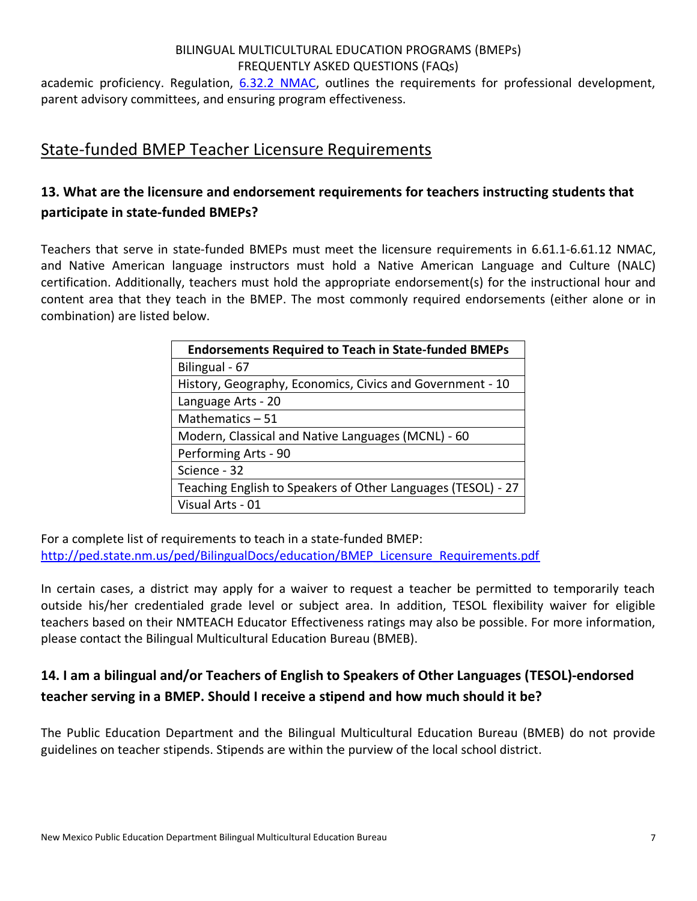academic proficiency. Regulation, [6.32.2 NMAC,](http://ped.state.nm.us/ped/BilingualDocs/NMAC6.32.2BilingualRegulation.pdf) outlines the requirements for professional development, parent advisory committees, and ensuring program effectiveness.

## <span id="page-6-0"></span>State-funded BMEP Teacher Licensure Requirements

# <span id="page-6-1"></span>**13. What are the licensure and endorsement requirements for teachers instructing students that participate in state-funded BMEPs?**

Teachers that serve in state-funded BMEPs must meet the licensure requirements in 6.61.1-6.61.12 NMAC, and Native American language instructors must hold a Native American Language and Culture (NALC) certification. Additionally, teachers must hold the appropriate endorsement(s) for the instructional hour and content area that they teach in the BMEP. The most commonly required endorsements (either alone or in combination) are listed below.

| <b>Endorsements Required to Teach in State-funded BMEPs</b>  |
|--------------------------------------------------------------|
| Bilingual - 67                                               |
| History, Geography, Economics, Civics and Government - 10    |
| Language Arts - 20                                           |
| Mathematics $-51$                                            |
| Modern, Classical and Native Languages (MCNL) - 60           |
| Performing Arts - 90                                         |
| Science - 32                                                 |
| Teaching English to Speakers of Other Languages (TESOL) - 27 |
| Visual Arts - 01                                             |

For a complete list of requirements to teach in a state-funded BMEP: [http://ped.state.nm.us/ped/BilingualDocs/education/BMEP\\_Licensure\\_Requirements.pdf](http://ped.state.nm.us/ped/BilingualDocs/education/BMEP_Licensure_Requirements.pdf)

In certain cases, a district may apply for a waiver to request a teacher be permitted to temporarily teach outside his/her credentialed grade level or subject area. In addition, TESOL flexibility waiver for eligible teachers based on their NMTEACH Educator Effectiveness ratings may also be possible. For more information, please contact the Bilingual Multicultural Education Bureau (BMEB).

## <span id="page-6-2"></span>**14. I am a bilingual and/or Teachers of English to Speakers of Other Languages (TESOL)-endorsed teacher serving in a BMEP. Should I receive a stipend and how much should it be?**

The Public Education Department and the Bilingual Multicultural Education Bureau (BMEB) do not provide guidelines on teacher stipends. Stipends are within the purview of the local school district.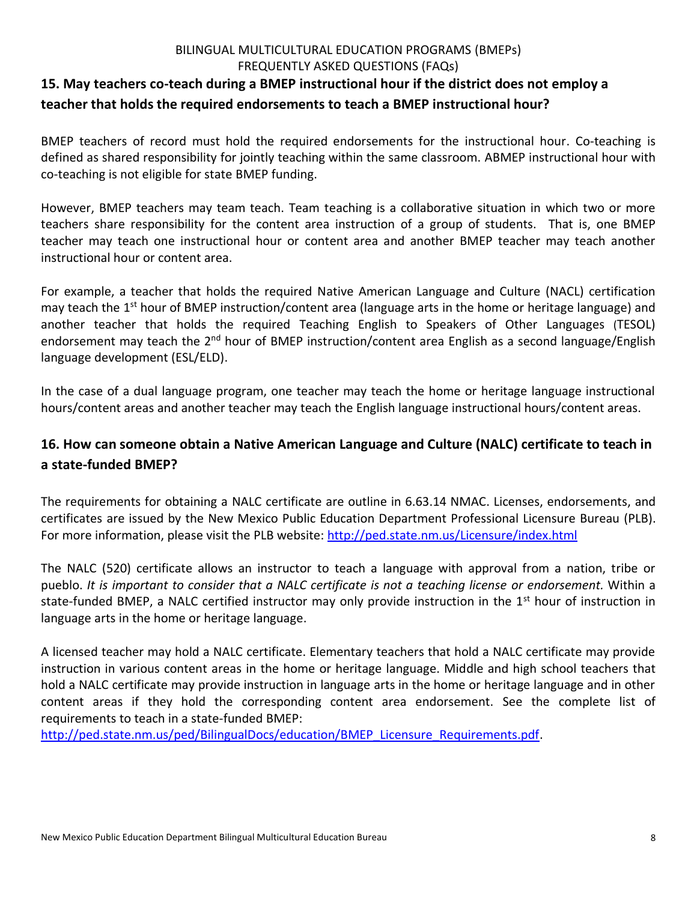## <span id="page-7-0"></span>**15. May teachers co-teach during a BMEP instructional hour if the district does not employ a teacher that holds the required endorsements to teach a BMEP instructional hour?**

BMEP teachers of record must hold the required endorsements for the instructional hour. Co-teaching is defined as shared responsibility for jointly teaching within the same classroom. ABMEP instructional hour with co-teaching is not eligible for state BMEP funding.

However, BMEP teachers may team teach. Team teaching is a collaborative situation in which two or more teachers share responsibility for the content area instruction of a group of students. That is, one BMEP teacher may teach one instructional hour or content area and another BMEP teacher may teach another instructional hour or content area.

For example, a teacher that holds the required Native American Language and Culture (NACL) certification may teach the 1<sup>st</sup> hour of BMEP instruction/content area (language arts in the home or heritage language) and another teacher that holds the required Teaching English to Speakers of Other Languages (TESOL) endorsement may teach the 2<sup>nd</sup> hour of BMEP instruction/content area English as a second language/English language development (ESL/ELD).

In the case of a dual language program, one teacher may teach the home or heritage language instructional hours/content areas and another teacher may teach the English language instructional hours/content areas.

## <span id="page-7-1"></span>**16. How can someone obtain a Native American Language and Culture (NALC) certificate to teach in a state-funded BMEP?**

The requirements for obtaining a NALC certificate are outline in 6.63.14 NMAC. Licenses, endorsements, and certificates are issued by the New Mexico Public Education Department Professional Licensure Bureau (PLB). For more information, please visit the PLB website:<http://ped.state.nm.us/Licensure/index.html>

The NALC (520) certificate allows an instructor to teach a language with approval from a nation, tribe or pueblo. *It is important to consider that a NALC certificate is not a teaching license or endorsement.* Within a state-funded BMEP, a NALC certified instructor may only provide instruction in the 1<sup>st</sup> hour of instruction in language arts in the home or heritage language.

A licensed teacher may hold a NALC certificate. Elementary teachers that hold a NALC certificate may provide instruction in various content areas in the home or heritage language. Middle and high school teachers that hold a NALC certificate may provide instruction in language arts in the home or heritage language and in other content areas if they hold the corresponding content area endorsement. See the complete list of requirements to teach in a state-funded BMEP:

[http://ped.state.nm.us/ped/BilingualDocs/education/BMEP\\_Licensure\\_Requirements.pdf.](http://ped.state.nm.us/ped/BilingualDocs/education/BMEP_Licensure_Requirements.pdf)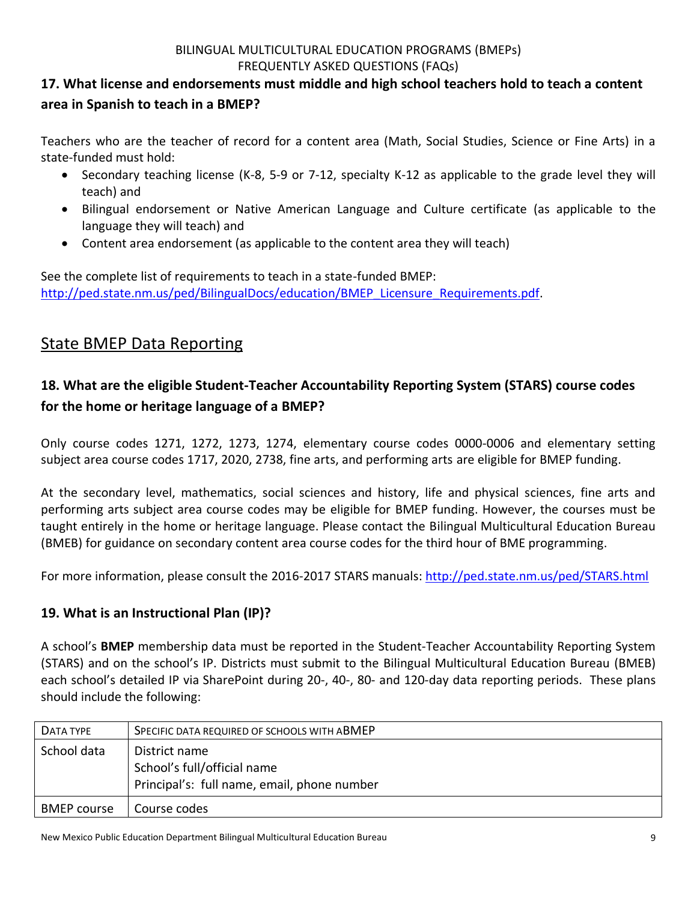## <span id="page-8-0"></span>**17. What license and endorsements must middle and high school teachers hold to teach a content area in Spanish to teach in a BMEP?**

Teachers who are the teacher of record for a content area (Math, Social Studies, Science or Fine Arts) in a state-funded must hold:

- Secondary teaching license (K-8, 5-9 or 7-12, specialty K-12 as applicable to the grade level they will teach) and
- Bilingual endorsement or Native American Language and Culture certificate (as applicable to the language they will teach) and
- Content area endorsement (as applicable to the content area they will teach)

See the complete list of requirements to teach in a state-funded BMEP: [http://ped.state.nm.us/ped/BilingualDocs/education/BMEP\\_Licensure\\_Requirements.pdf.](http://ped.state.nm.us/ped/BilingualDocs/education/BMEP_Licensure_Requirements.pdf)

# <span id="page-8-1"></span>State BMEP Data Reporting

# <span id="page-8-2"></span>**18. What are the eligible Student-Teacher Accountability Reporting System (STARS) course codes for the home or heritage language of a BMEP?**

Only course codes 1271, 1272, 1273, 1274, elementary course codes 0000-0006 and elementary setting subject area course codes 1717, 2020, 2738, fine arts, and performing arts are eligible for BMEP funding.

At the secondary level, mathematics, social sciences and history, life and physical sciences, fine arts and performing arts subject area course codes may be eligible for BMEP funding. However, the courses must be taught entirely in the home or heritage language. Please contact the Bilingual Multicultural Education Bureau (BMEB) for guidance on secondary content area course codes for the third hour of BME programming.

For more information, please consult the 2016-2017 STARS manuals[: http://ped.state.nm.us/ped/STARS.html](http://ped.state.nm.us/ped/STARS.html)

## <span id="page-8-3"></span>**19. What is an Instructional Plan (IP)?**

A school's **BMEP** membership data must be reported in the Student-Teacher Accountability Reporting System (STARS) and on the school's IP. Districts must submit to the Bilingual Multicultural Education Bureau (BMEB) each school's detailed IP via SharePoint during 20-, 40-, 80- and 120-day data reporting periods. These plans should include the following:

| DATA TYPE          | SPECIFIC DATA REQUIRED OF SCHOOLS WITH ABMEP                                                |
|--------------------|---------------------------------------------------------------------------------------------|
| School data        | District name<br>School's full/official name<br>Principal's: full name, email, phone number |
| <b>BMEP</b> course | Course codes                                                                                |

New Mexico Public Education Department Bilingual Multicultural Education Bureau 9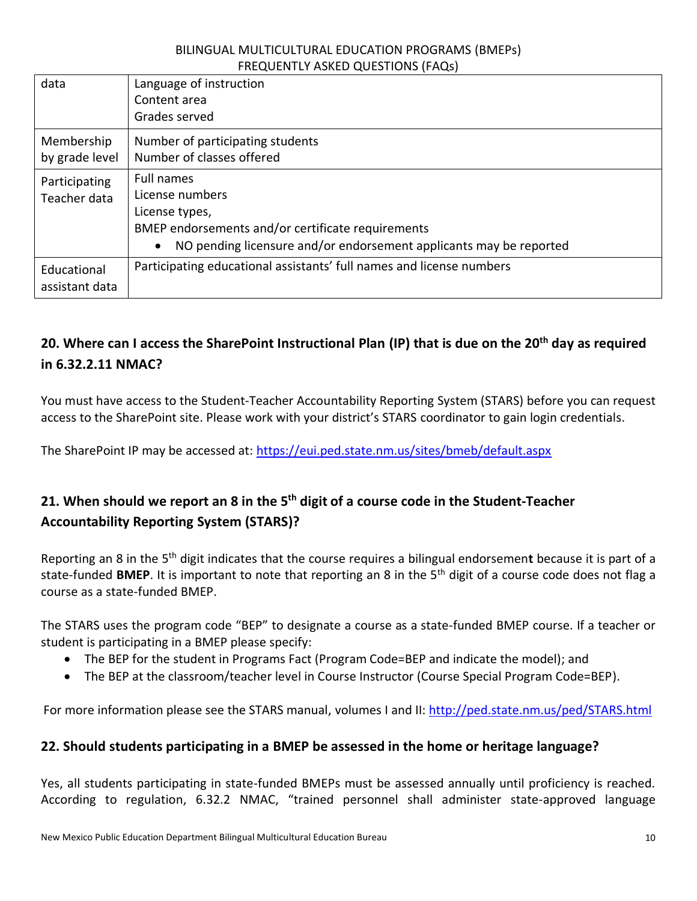| data           | Language of instruction                                                         |  |  |
|----------------|---------------------------------------------------------------------------------|--|--|
|                | Content area                                                                    |  |  |
|                | Grades served                                                                   |  |  |
| Membership     | Number of participating students                                                |  |  |
| by grade level | Number of classes offered                                                       |  |  |
| Participating  | Full names                                                                      |  |  |
| Teacher data   | License numbers                                                                 |  |  |
|                | License types,                                                                  |  |  |
|                | BMEP endorsements and/or certificate requirements                               |  |  |
|                | NO pending licensure and/or endorsement applicants may be reported<br>$\bullet$ |  |  |
| Educational    | Participating educational assistants' full names and license numbers            |  |  |
| assistant data |                                                                                 |  |  |

# <span id="page-9-0"></span>**20. Where can I access the SharePoint Instructional Plan (IP) that is due on the 20th day as required in 6.32.2.11 NMAC?**

You must have access to the Student-Teacher Accountability Reporting System (STARS) before you can request access to the SharePoint site. Please work with your district's STARS coordinator to gain login credentials.

The SharePoint IP may be accessed at: <https://eui.ped.state.nm.us/sites/bmeb/default.aspx>

# <span id="page-9-1"></span>**21. When should we report an 8 in the 5 th digit of a course code in the Student-Teacher Accountability Reporting System (STARS)?**

Reporting an 8 in the 5th digit indicates that the course requires a bilingual endorsemen**t** because it is part of a state-funded **BMEP**. It is important to note that reporting an 8 in the 5th digit of a course code does not flag a course as a state-funded BMEP.

The STARS uses the program code "BEP" to designate a course as a state-funded BMEP course. If a teacher or student is participating in a BMEP please specify:

- The BEP for the student in Programs Fact (Program Code=BEP and indicate the model); and
- The BEP at the classroom/teacher level in Course Instructor (Course Special Program Code=BEP).

For more information please see the STARS manual, volumes I and II[: http://ped.state.nm.us/ped/STARS.html](http://ped.state.nm.us/ped/STARS.html)

#### <span id="page-9-2"></span>**22. Should students participating in a BMEP be assessed in the home or heritage language?**

Yes, all students participating in state-funded BMEPs must be assessed annually until proficiency is reached. According to regulation, 6.32.2 NMAC, "trained personnel shall administer state-approved language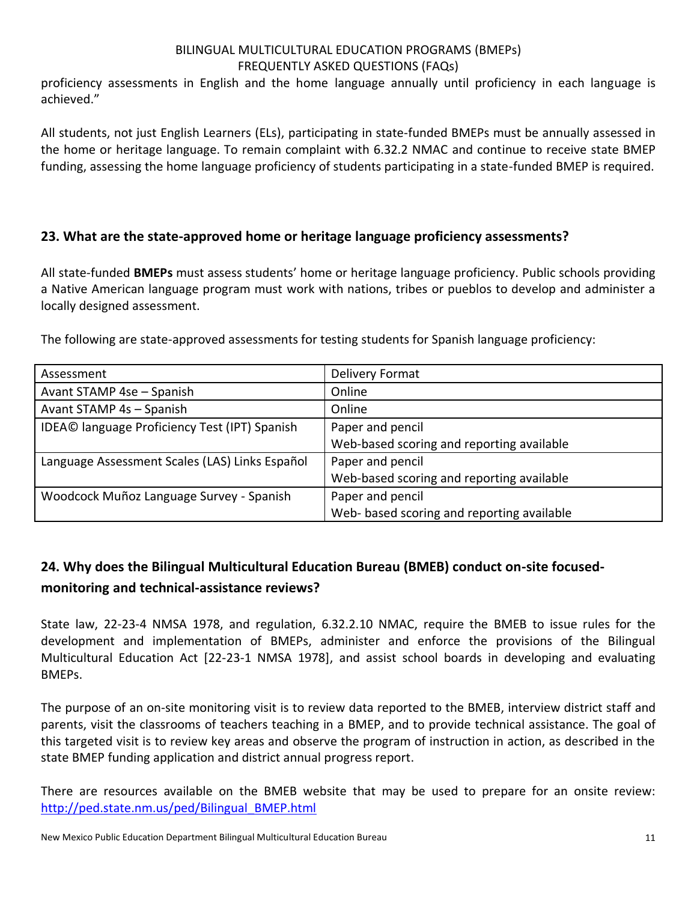proficiency assessments in English and the home language annually until proficiency in each language is achieved."

All students, not just English Learners (ELs), participating in state-funded BMEPs must be annually assessed in the home or heritage language. To remain complaint with 6.32.2 NMAC and continue to receive state BMEP funding, assessing the home language proficiency of students participating in a state-funded BMEP is required.

### <span id="page-10-0"></span>**23. What are the state-approved home or heritage language proficiency assessments?**

All state-funded **BMEPs** must assess students' home or heritage language proficiency. Public schools providing a Native American language program must work with nations, tribes or pueblos to develop and administer a locally designed assessment.

The following are state-approved assessments for testing students for Spanish language proficiency:

| Assessment                                     | <b>Delivery Format</b>                     |
|------------------------------------------------|--------------------------------------------|
| Avant STAMP 4se - Spanish                      | Online                                     |
| Avant STAMP 4s - Spanish                       | Online                                     |
| IDEA© language Proficiency Test (IPT) Spanish  | Paper and pencil                           |
|                                                | Web-based scoring and reporting available  |
| Language Assessment Scales (LAS) Links Español | Paper and pencil                           |
|                                                | Web-based scoring and reporting available  |
| Woodcock Muñoz Language Survey - Spanish       | Paper and pencil                           |
|                                                | Web- based scoring and reporting available |

# <span id="page-10-1"></span>**24. Why does the Bilingual Multicultural Education Bureau (BMEB) conduct on-site focusedmonitoring and technical-assistance reviews?**

State law, 22-23-4 NMSA 1978, and regulation, 6.32.2.10 NMAC, require the BMEB to issue rules for the development and implementation of BMEPs, administer and enforce the provisions of the Bilingual Multicultural Education Act [22-23-1 NMSA 1978], and assist school boards in developing and evaluating BMEPs.

The purpose of an on-site monitoring visit is to review data reported to the BMEB, interview district staff and parents, visit the classrooms of teachers teaching in a BMEP, and to provide technical assistance. The goal of this targeted visit is to review key areas and observe the program of instruction in action, as described in the state BMEP funding application and district annual progress report.

There are resources available on the BMEB website that may be used to prepare for an onsite review: [http://ped.state.nm.us/ped/Bilingual\\_BMEP.html](http://ped.state.nm.us/ped/Bilingual_BMEP.html)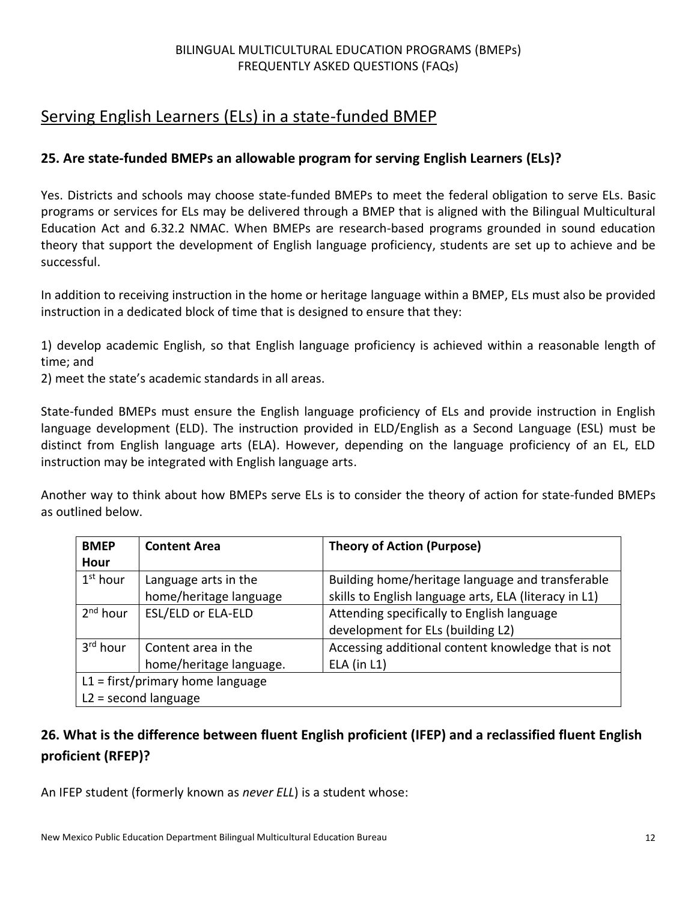# <span id="page-11-0"></span>Serving English Learners (ELs) in a state-funded BMEP

### <span id="page-11-1"></span>**25. Are state-funded BMEPs an allowable program for serving English Learners (ELs)?**

Yes. Districts and schools may choose state-funded BMEPs to meet the federal obligation to serve ELs. Basic programs or services for ELs may be delivered through a BMEP that is aligned with the Bilingual Multicultural Education Act and 6.32.2 NMAC. When BMEPs are research-based programs grounded in sound education theory that support the development of English language proficiency, students are set up to achieve and be successful.

In addition to receiving instruction in the home or heritage language within a BMEP, ELs must also be provided instruction in a dedicated block of time that is designed to ensure that they:

1) develop academic English, so that English language proficiency is achieved within a reasonable length of time; and

2) meet the state's academic standards in all areas.

State-funded BMEPs must ensure the English language proficiency of ELs and provide instruction in English language development (ELD). The instruction provided in ELD/English as a Second Language (ESL) must be distinct from English language arts (ELA). However, depending on the language proficiency of an EL, ELD instruction may be integrated with English language arts.

Another way to think about how BMEPs serve ELs is to consider the theory of action for state-funded BMEPs as outlined below.

| <b>BMEP</b><br>Hour  | <b>Content Area</b>                                          | <b>Theory of Action (Purpose)</b>                                                                         |
|----------------------|--------------------------------------------------------------|-----------------------------------------------------------------------------------------------------------|
| $1st$ hour           | Language arts in the<br>home/heritage language               | Building home/heritage language and transferable<br>skills to English language arts, ELA (literacy in L1) |
| 2 <sup>nd</sup> hour | <b>ESL/ELD or ELA-ELD</b>                                    | Attending specifically to English language<br>development for ELs (building L2)                           |
| 3 <sup>rd</sup> hour | Content area in the<br>home/heritage language.               | Accessing additional content knowledge that is not<br>$ELA$ (in $L1$ )                                    |
|                      | $L1 =$ first/primary home language<br>$L2 =$ second language |                                                                                                           |

# <span id="page-11-2"></span>**26. What is the difference between fluent English proficient (IFEP) and a reclassified fluent English proficient (RFEP)?**

An IFEP student (formerly known as *never ELL*) is a student whose: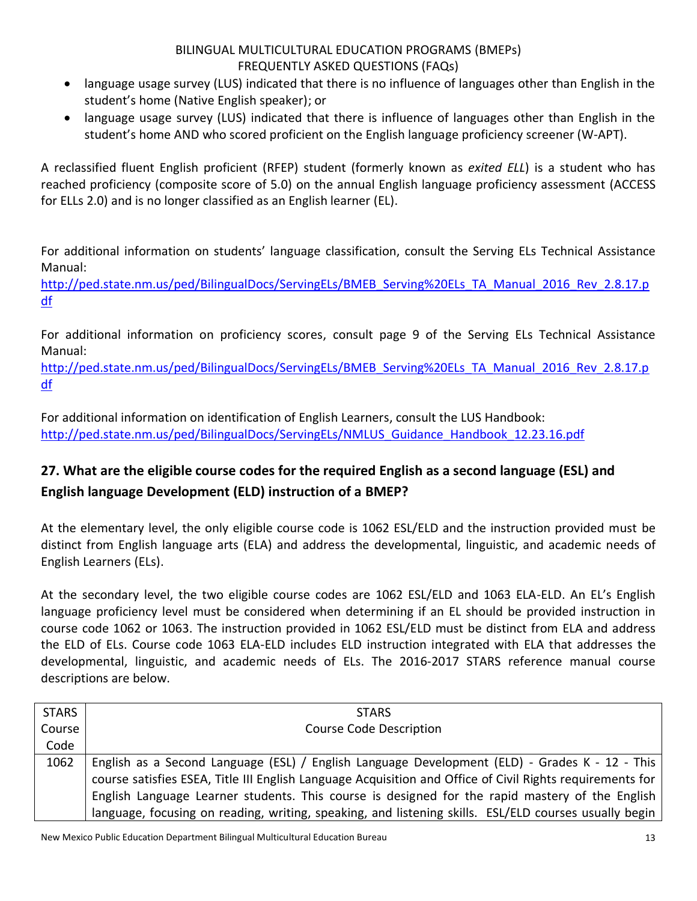- language usage survey (LUS) indicated that there is no influence of languages other than English in the student's home (Native English speaker); or
- language usage survey (LUS) indicated that there is influence of languages other than English in the student's home AND who scored proficient on the English language proficiency screener (W-APT).

A reclassified fluent English proficient (RFEP) student (formerly known as *exited ELL*) is a student who has reached proficiency (composite score of 5.0) on the annual English language proficiency assessment (ACCESS for ELLs 2.0) and is no longer classified as an English learner (EL).

For additional information on students' language classification, consult the Serving ELs Technical Assistance Manual:

[http://ped.state.nm.us/ped/BilingualDocs/ServingELs/BMEB\\_Serving%20ELs\\_TA\\_Manual\\_2016\\_Rev\\_2.8.17.p](http://ped.state.nm.us/ped/BilingualDocs/ServingELs/BMEB_Serving%20ELs_TA_Manual_2016_Rev_2.8.17.pdf) [df](http://ped.state.nm.us/ped/BilingualDocs/ServingELs/BMEB_Serving%20ELs_TA_Manual_2016_Rev_2.8.17.pdf)

For additional information on proficiency scores, consult page 9 of the Serving ELs Technical Assistance Manual:

[http://ped.state.nm.us/ped/BilingualDocs/ServingELs/BMEB\\_Serving%20ELs\\_TA\\_Manual\\_2016\\_Rev\\_2.8.17.p](http://ped.state.nm.us/ped/BilingualDocs/ServingELs/BMEB_Serving%20ELs_TA_Manual_2016_Rev_2.8.17.pdf) [df](http://ped.state.nm.us/ped/BilingualDocs/ServingELs/BMEB_Serving%20ELs_TA_Manual_2016_Rev_2.8.17.pdf)

For additional information on identification of English Learners, consult the LUS Handbook: [http://ped.state.nm.us/ped/BilingualDocs/ServingELs/NMLUS\\_Guidance\\_Handbook\\_12.23.16.pdf](http://ped.state.nm.us/ped/BilingualDocs/ServingELs/NMLUS_Guidance_Handbook_12.23.16.pdf)

# <span id="page-12-0"></span>**27. What are the eligible course codes for the required English as a second language (ESL) and English language Development (ELD) instruction of a BMEP?**

At the elementary level, the only eligible course code is 1062 ESL/ELD and the instruction provided must be distinct from English language arts (ELA) and address the developmental, linguistic, and academic needs of English Learners (ELs).

At the secondary level, the two eligible course codes are 1062 ESL/ELD and 1063 ELA-ELD. An EL's English language proficiency level must be considered when determining if an EL should be provided instruction in course code 1062 or 1063. The instruction provided in 1062 ESL/ELD must be distinct from ELA and address the ELD of ELs. Course code 1063 ELA-ELD includes ELD instruction integrated with ELA that addresses the developmental, linguistic, and academic needs of ELs. The 2016-2017 STARS reference manual course descriptions are below.

| <b>STARS</b> | <b>STARS</b>                                                                                              |
|--------------|-----------------------------------------------------------------------------------------------------------|
| Course       | <b>Course Code Description</b>                                                                            |
| Code         |                                                                                                           |
| 1062         | English as a Second Language (ESL) / English Language Development (ELD) - Grades K - 12 - This            |
|              | course satisfies ESEA, Title III English Language Acquisition and Office of Civil Rights requirements for |
|              | English Language Learner students. This course is designed for the rapid mastery of the English           |
|              | language, focusing on reading, writing, speaking, and listening skills. ESL/ELD courses usually begin     |